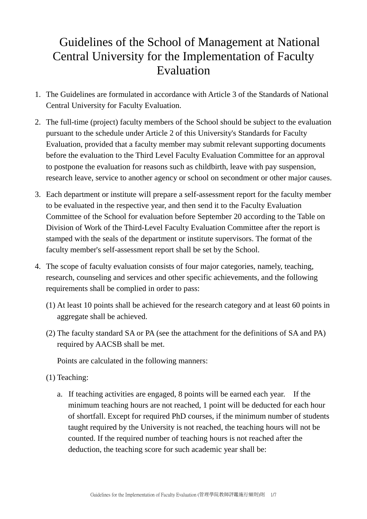# Guidelines of the School of Management at National Central University for the Implementation of Faculty Evaluation

- 1. The Guidelines are formulated in accordance with Article 3 of the Standards of National Central University for Faculty Evaluation.
- 2. The full-time (project) faculty members of the School should be subject to the evaluation pursuant to the schedule under Article 2 of this University's Standards for Faculty Evaluation, provided that a faculty member may submit relevant supporting documents before the evaluation to the Third Level Faculty Evaluation Committee for an approval to postpone the evaluation for reasons such as childbirth, leave with pay suspension, research leave, service to another agency or school on secondment or other major causes.
- 3. Each department or institute will prepare a self-assessment report for the faculty member to be evaluated in the respective year, and then send it to the Faculty Evaluation Committee of the School for evaluation before September 20 according to the Table on Division of Work of the Third-Level Faculty Evaluation Committee after the report is stamped with the seals of the department or institute supervisors. The format of the faculty member's self-assessment report shall be set by the School.
- 4. The scope of faculty evaluation consists of four major categories, namely, teaching, research, counseling and services and other specific achievements, and the following requirements shall be complied in order to pass:
	- (1) At least 10 points shall be achieved for the research category and at least 60 points in aggregate shall be achieved.
	- (2) The faculty standard SA or PA (see the attachment for the definitions of SA and PA) required by AACSB shall be met.

Points are calculated in the following manners:

- (1) Teaching:
	- a. If teaching activities are engaged, 8 points will be earned each year. If the minimum teaching hours are not reached, 1 point will be deducted for each hour of shortfall. Except for required PhD courses, if the minimum number of students taught required by the University is not reached, the teaching hours will not be counted. If the required number of teaching hours is not reached after the deduction, the teaching score for such academic year shall be: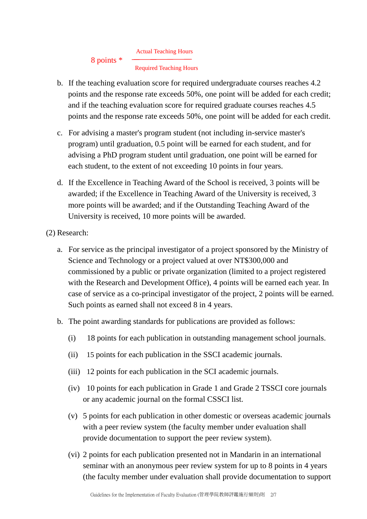#### Actual Teaching Hours 8 points \*

# Required Teaching Hours

- b. If the teaching evaluation score for required undergraduate courses reaches 4.2 points and the response rate exceeds 50%, one point will be added for each credit; and if the teaching evaluation score for required graduate courses reaches 4.5 points and the response rate exceeds 50%, one point will be added for each credit.
- c. For advising a master's program student (not including in-service master's program) until graduation, 0.5 point will be earned for each student, and for advising a PhD program student until graduation, one point will be earned for each student, to the extent of not exceeding 10 points in four years.
- d. If the Excellence in Teaching Award of the School is received, 3 points will be awarded; if the Excellence in Teaching Award of the University is received, 3 more points will be awarded; and if the Outstanding Teaching Award of the University is received, 10 more points will be awarded.

(2) Research:

- a. For service as the principal investigator of a project sponsored by the Ministry of Science and Technology or a project valued at over NT\$300,000 and commissioned by a public or private organization (limited to a project registered with the Research and Development Office), 4 points will be earned each year. In case of service as a co-principal investigator of the project, 2 points will be earned. Such points as earned shall not exceed 8 in 4 years.
- b. The point awarding standards for publications are provided as follows:
	- (i) 18 points for each publication in outstanding management school journals.
	- (ii) 15 points for each publication in the SSCI academic journals.
	- (iii) 12 points for each publication in the SCI academic journals.
	- (iv) 10 points for each publication in Grade 1 and Grade 2 TSSCI core journals or any academic journal on the formal CSSCI list.
	- (v) 5 points for each publication in other domestic or overseas academic journals with a peer review system (the faculty member under evaluation shall provide documentation to support the peer review system).
	- (vi) 2 points for each publication presented not in Mandarin in an international seminar with an anonymous peer review system for up to 8 points in 4 years (the faculty member under evaluation shall provide documentation to support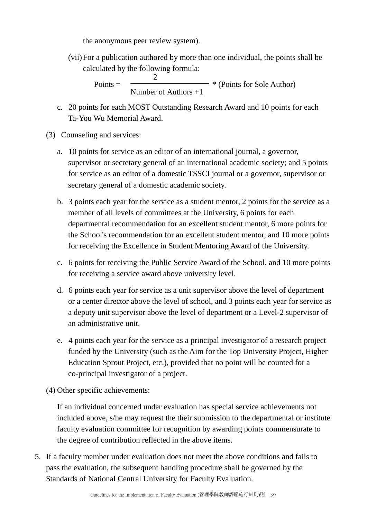the anonymous peer review system).

(vii)For a publication authored by more than one individual, the points shall be calculated by the following formula:

> $\mathcal{D}_{\mathcal{L}}$  $Points = \overline{\phantom{a}}$  \* (Points for Sole Author) Number of Authors +1

- c. 20 points for each MOST Outstanding Research Award and 10 points for each Ta-You Wu Memorial Award.
- (3) Counseling and services:
	- a. 10 points for service as an editor of an international journal, a governor, supervisor or secretary general of an international academic society; and 5 points for service as an editor of a domestic TSSCI journal or a governor, supervisor or secretary general of a domestic academic society.
	- b. 3 points each year for the service as a student mentor, 2 points for the service as a member of all levels of committees at the University, 6 points for each departmental recommendation for an excellent student mentor, 6 more points for the School's recommendation for an excellent student mentor, and 10 more points for receiving the Excellence in Student Mentoring Award of the University.
	- c. 6 points for receiving the Public Service Award of the School, and 10 more points for receiving a service award above university level.
	- d. 6 points each year for service as a unit supervisor above the level of department or a center director above the level of school, and 3 points each year for service as a deputy unit supervisor above the level of department or a Level-2 supervisor of an administrative unit.
	- e. 4 points each year for the service as a principal investigator of a research project funded by the University (such as the Aim for the Top University Project, Higher Education Sprout Project, etc.), provided that no point will be counted for a co-principal investigator of a project.
- (4) Other specific achievements:

If an individual concerned under evaluation has special service achievements not included above, s/he may request the their submission to the departmental or institute faculty evaluation committee for recognition by awarding points commensurate to the degree of contribution reflected in the above items.

5. If a faculty member under evaluation does not meet the above conditions and fails to pass the evaluation, the subsequent handling procedure shall be governed by the Standards of National Central University for Faculty Evaluation.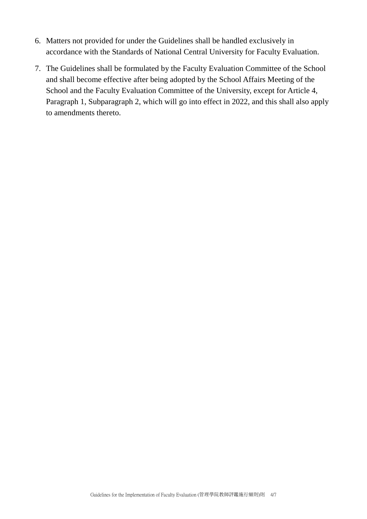- 6. Matters not provided for under the Guidelines shall be handled exclusively in accordance with the Standards of National Central University for Faculty Evaluation.
- 7. The Guidelines shall be formulated by the Faculty Evaluation Committee of the School and shall become effective after being adopted by the School Affairs Meeting of the School and the Faculty Evaluation Committee of the University, except for Article 4, Paragraph 1, Subparagraph 2, which will go into effect in 2022, and this shall also apply to amendments thereto.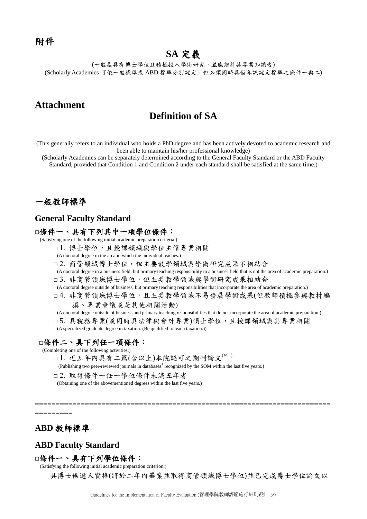# **SA** 定義

(一般指具有博士學位且積極投入學術研究,並能維持其專業知識者) (Scholarly Academics 可依一般標準或 ABD 標準分別認定,但必須同時具備各該認定標準之條件一與二)

# **Attachment**

## **Definition of SA**

(This generally refers to an individual who holds a PhD degree and has been actively devoted to academic research and been able to maintain his/her professional knowledge)

(Scholarly Academics can be separately determined according to the General Faculty Standard or the ABD Faculty Standard, provided that Condition 1 and Condition 2 under each standard shall be satisfied at the same time.)

### 一般教師標準

#### **General Faculty Standard**

#### □條件一、具有下列其中一項學位條件:

(Satisfying one of the following initial academic preparation criteria:)

- □ 1. 博士學位,且授課領域與學位主修專業相關
- (A doctoral degree in the area in which the individual teaches.)
- □ 2. 商管領域博士學位,但主要教學領域與學術研究成果不相結合
- (A doctoral degree in a business field, but primary teaching responsibility in a business field that is not the area of academic preparation.) □ 3. 非商管領域博士學位,但主要教學領域與學術研究成果相結合
- (A doctoral degree outside of business, but primary teaching responsibilities that incorporate the area of academic preparation.)
- □ 4. 非商管領域博士學位,且主要教學領域不易發展學術成果(但教師積極參與教材編 撰、專業會議或是其他相關活動)
- (A doctoral degree outside of business and primary teaching responsibilities that do not incorporate the area of academic preparation.)
- □ 5. 具稅務專業(或同時具法律與會計專業)碩士學位,且授課領域與其專業相關
- (A specialized graduate degree in taxation. (Be qualified to teach taxation.))

#### □條件二、具下列任一項條件:

(Completing one of the following activities:)

- □ 1. 近五年內具有二篇(含以上)本院認可之期刊論文(註一)
- (Publishing two peer-reviewed journals in databases<sup>1</sup> recognized by the SOM within the last five years.)
- □ 2. 取得條件一任一學位條件未滿五年者
- (Obtaining one of the abovementioned degrees within the last five years.)

======================================================================= =========

### **ABD** 教師標準

#### **ABD Faculty Standard**

#### □條件一、具有下列學位條件:

(Satisfying the following initial academic preparation criterion:)

具博士候選人資格(將於二年內畢業並取得商管領域博士學位)並已完成博士學位論文以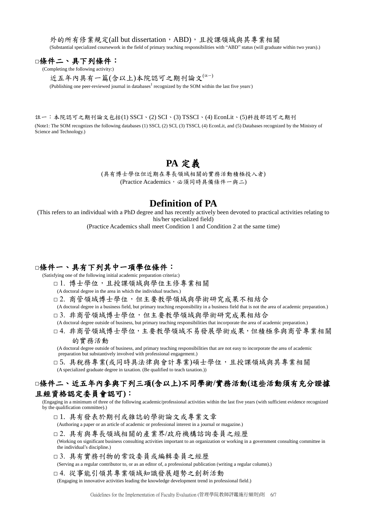外的所有修業規定(all but dissertation, ABD), 且授課領域與其專業相關 (Substantial specialized coursework in the field of primary teaching responsibilities with "ABD" status (will graduate within two years).)

### □條件二、具下列條件:

(Completing the following activity:)

近五年內具有一篇(含以上)本院認可之期刊論文(#-)

(Publishing one peer-reviewed journal in databases<sup>1</sup> recognized by the SOM within the last five years)

註一:本院認可之期刊論文包括(1) SSCI、(2) SCI、(3) TSSCI、(4) EconLit、(5)科技部認可之期刊 (Note1: The SOM recognizes the following databases (1) SSCI, (2) SCI, (3) TSSCI, (4) EconLit, and (5) Databases recognized by the Ministry of Science and Technology.)

# **PA** 定義

(具有博士學位但近期在專長領域相關的實務活動積極投入者) (Practice Academics,这須同時具備條件一與二)

### **Definition of PA**

(This refers to an individual with a PhD degree and has recently actively been devoted to practical activities relating to his/her specialized field)

(Practice Academics shall meet Condition 1 and Condition 2 at the same time)

#### □條件一、具有下列其中一項學位條件:

(Satisfying one of the following initial academic preparation criteria:)

□ 1. 博士學位,且授課領域與學位主修專業相關

(A doctoral degree in the area in which the individual teaches.)

- □ 2. 商管領域博士學位,但主要教學領域與學術研究成果不相結合
- (A doctoral degree in a business field, but primary teaching responsibility in a business field that is not the area of academic preparation.)
- □ 3. 非商管領域博士學位,但主要教學領域與學術研究成果相結合
- (A doctoral degree outside of business, but primary teaching responsibilities that incorporate the area of academic preparation.)
- □ 4. 非商管領域博士學位,主要教學領域不易發展學術成果,但積極參與商管專業相關 的實務活動

(A doctoral degree outside of business, and primary teaching responsibilities that are not easy to incorporate the area of academic preparation but substantively involved with professional engagement.)

□ 5. 具稅務專業(或同時具法律與會計專業)碩士學位,且授課領域與其專業相關 (A specialized graduate degree in taxation. (Be qualified to teach taxation.))

### □條件二、近五年內參與下列三項**(**含以上**)**不同學術**/**實務活動**(**這些活動須有充分證據 且經資格認定委員會認可**)**:

(Engaging in a minimum of three of the following academic/professional activities within the last five years (with sufficient evidence recognized by the qualification committee).)

□1. 具有發表於期刊或雜誌的學術論文或專業文章

(Authoring a paper or an article of academic or professional interest in a journal or magazine.)

- □ 2. 具有與專長領域相關的產業界/政府機構諮詢委員之經歷 (Working on significant business consulting activities important to an organization or working in a government consulting committee in the individual's discipline.)
- □ 3. 具有實務刊物的常設委員或編輯委員之經歷

(Serving as a regular contributor to, or as an editor of, a professional publication (writing a regular column).)

□ 4. 從事能引領其專業領域知識發展趨勢之創新活動 (Engaging in innovative activities leading the knowledge development trend in professional field.)